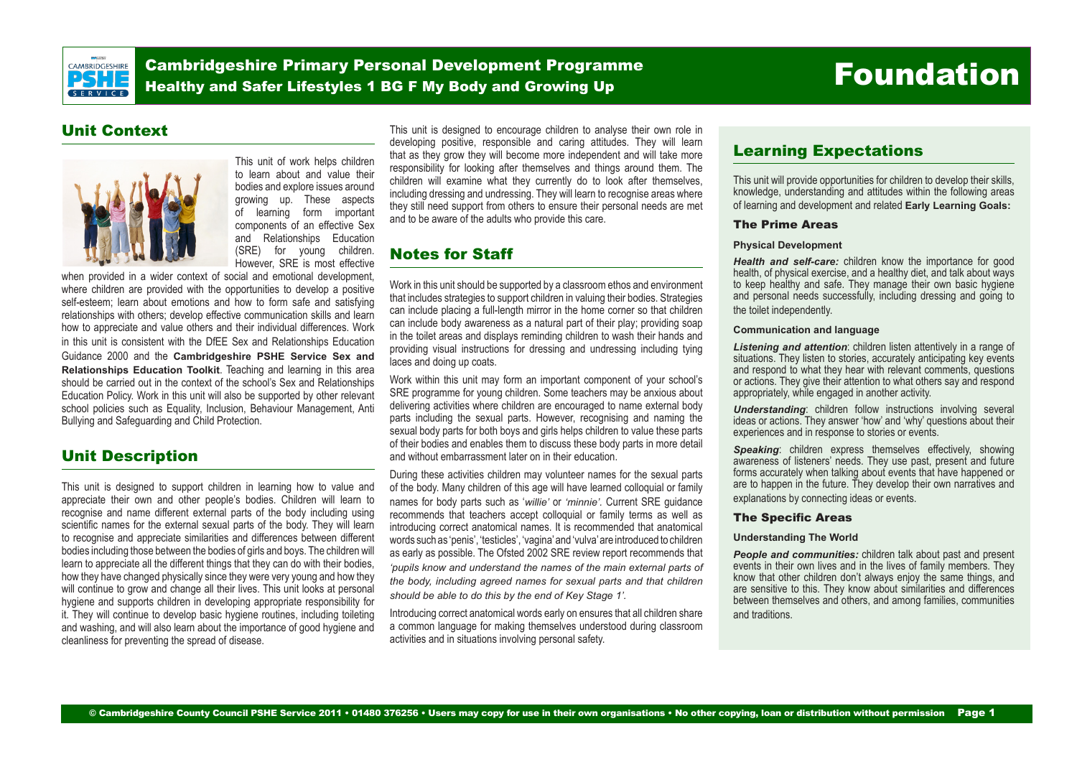

Cambridgeshire Primary Personal Development Programme Cambridgeshire Primary Personal Development Programme<br>Healthy and Safer Lifestyles 1 BG F My Bo<u>dy and Growing Up Foundation</u>

## Unit Context



This unit of work helps children to learn about and value their bodies and explore issues around growing up. These aspects of learning form important components of an effective Sex and Relationships Education<br>(SRE) for young children. for young children. However, SRE is most effective

when provided in a wider context of social and emotional development, where children are provided with the opportunities to develop a positive self-esteem; learn about emotions and how to form safe and satisfying relationships with others; develop effective communication skills and learn how to appreciate and value others and their individual differences. Work in this unit is consistent with the DfEE Sex and Relationships Education Guidance 2000 and the **Cambridgeshire PSHE Service Sex and Relationships Education Toolkit**. Teaching and learning in this area should be carried out in the context of the school's Sex and Relationships Education Policy. Work in this unit will also be supported by other relevant school policies such as Equality, Inclusion, Behaviour Management, Anti Bullying and Safeguarding and Child Protection.

## Unit Description

This unit is designed to support children in learning how to value and appreciate their own and other people's bodies. Children will learn to recognise and name different external parts of the body including using scientific names for the external sexual parts of the body. They will learn to recognise and appreciate similarities and differences between different bodies including those between the bodies of girls and boys. The children will learn to appreciate all the different things that they can do with their bodies, how they have changed physically since they were very young and how they will continue to grow and change all their lives. This unit looks at personal hygiene and supports children in developing appropriate responsibility for it. They will continue to develop basic hygiene routines, including toileting and washing, and will also learn about the importance of good hygiene and cleanliness for preventing the spread of disease.

This unit is designed to encourage children to analyse their own role in developing positive, responsible and caring attitudes. They will learn that as they grow they will become more independent and will take more responsibility for looking after themselves and things around them. The children will examine what they currently do to look after themselves, including dressing and undressing. They will learn to recognise areas where they still need support from others to ensure their personal needs are met and to be aware of the adults who provide this care.

## Notes for Staff

Work in this unit should be supported by a classroom ethos and environment that includes strategies to support children in valuing their bodies. Strategies can include placing a full-length mirror in the home corner so that children can include body awareness as a natural part of their play; providing soap in the toilet areas and displays reminding children to wash their hands and providing visual instructions for dressing and undressing including tying laces and doing up coats.

Work within this unit may form an important component of your school's SRE programme for young children. Some teachers may be anxious about delivering activities where children are encouraged to name external body parts including the sexual parts. However, recognising and naming the sexual body parts for both boys and girls helps children to value these parts of their bodies and enables them to discuss these body parts in more detail and without embarrassment later on in their education.

During these activities children may volunteer names for the sexual parts of the body. Many children of this age will have learned colloquial or family names for body parts such as '*willie'* or *'minnie'.* Current SRE guidance recommends that teachers accept colloquial or family terms as well as introducing correct anatomical names. It is recommended that anatomical words such as 'penis', 'testicles', 'vagina' and 'vulva' are introduced to children as early as possible. The Ofsted 2002 SRE review report recommends that *'pupils know and understand the names of the main external parts of the body, including agreed names for sexual parts and that children should be able to do this by the end of Key Stage 1'.* 

Introducing correct anatomical words early on ensures that all children share a common language for making themselves understood during classroom activities and in situations involving personal safety.

## Learning Expectations

This unit will provide opportunities for children to develop their skills, knowledge, understanding and attitudes within the following areas of learning and development and related **Early Learning Goals:**

#### The Prime Areas

#### **Physical Development**

*Health and self-care:* children know the importance for good health, of physical exercise, and a healthy diet, and talk about ways to keep healthy and safe. They manage their own basic hygiene and personal needs successfully, including dressing and going to the toilet independently.

#### **Communication and language**

*Listening and attention*: children listen attentively in a range of situations. They listen to stories, accurately anticipating key events and respond to what they hear with relevant comments, questions or actions. They give their attention to what others say and respond appropriately, while engaged in another activity.

*Understanding*: children follow instructions involving several ideas or actions. They answer 'how' and 'why' questions about their experiences and in response to stories or events.

**Speaking:** children express themselves effectively, showing awareness of listeners' needs. They use past, present and future forms accurately when talking about events that have happened or are to happen in the future. They develop their own narratives and explanations by connecting ideas or events.

#### The Specific Areas

#### **Understanding The World**

*People and communities:* children talk about past and present events in their own lives and in the lives of family members. They know that other children don't always enjoy the same things, and are sensitive to this. They know about similarities and differences between themselves and others, and among families, communities and traditions.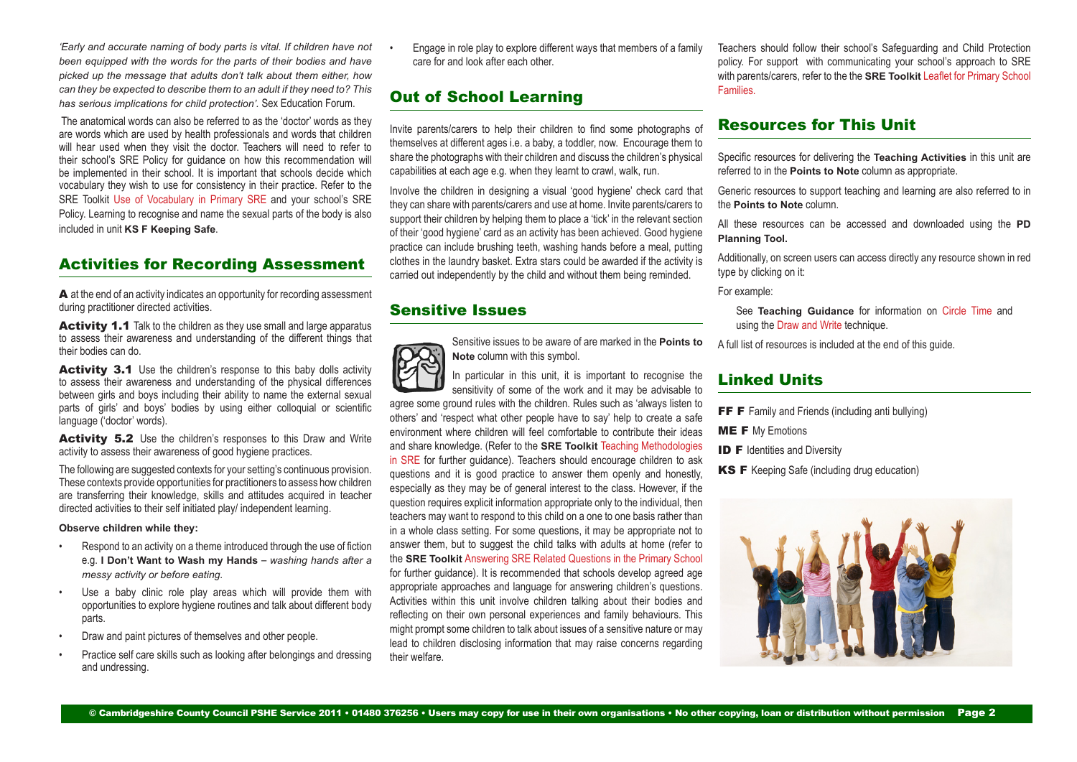*'Early and accurate naming of body parts is vital. If children have not been equipped with the words for the parts of their bodies and have picked up the message that adults don't talk about them either, how can they be expected to describe them to an adult if they need to? This has serious implications for child protection'.* Sex Education Forum.

 The anatomical words can also be referred to as the 'doctor' words as they are words which are used by health professionals and words that children will hear used when they visit the doctor. Teachers will need to refer to their school's SRE Policy for guidance on how this recommendation will be implemented in their school. It is important that schools decide which vocabulary they wish to use for consistency in their practice. Refer to the SRE Toolkit [Use of Vocabulary in Primary SRE](http://www.j9solutions.co.uk/pshe/6DUseofVocabularyPrimarySRE.doc) and your school's SRE Policy. Learning to recognise and name the sexual parts of the body is also included in unit **KS F Keeping Safe**.

## Activities for Recording Assessment

A at the end of an activity indicates an opportunity for recording assessment during practitioner directed activities.

Activity 1.1 Talk to the children as they use small and large apparatus to assess their awareness and understanding of the different things that their bodies can do.

Activity 3.1 Use the children's response to this baby dolls activity to assess their awareness and understanding of the physical differences between girls and boys including their ability to name the external sexual parts of girls' and boys' bodies by using either colloquial or scientific language ('doctor' words).

Activity 5.2 Use the children's responses to this Draw and Write activity to assess their awareness of good hygiene practices.

The following are suggested contexts for your setting's continuous provision. These contexts provide opportunities for practitioners to assess how children are transferring their knowledge, skills and attitudes acquired in teacher directed activities to their self initiated play/ independent learning.

**Observe children while they:**

- Respond to an activity on a theme introduced through the use of fiction e.g. **I Don't Want to Wash my Hands** – *washing hands after a messy activity or before eating.*
- Use a baby clinic role play areas which will provide them with opportunities to explore hygiene routines and talk about different body parts.
- Draw and paint pictures of themselves and other people.
- Practice self care skills such as looking after belongings and dressing and undressing.

• Engage in role play to explore different ways that members of a family care for and look after each other.

## Out of School Learning

Invite parents/carers to help their children to find some photographs of themselves at different ages i.e. a baby, a toddler, now. Encourage them to share the photographs with their children and discuss the children's physical capabilities at each age e.g. when they learnt to crawl, walk, run.

Involve the children in designing a visual 'good hygiene' check card that they can share with parents/carers and use at home. Invite parents/carers to support their children by helping them to place a 'tick' in the relevant section of their 'good hygiene' card as an activity has been achieved. Good hygiene practice can include brushing teeth, washing hands before a meal, putting clothes in the laundry basket. Extra stars could be awarded if the activity is carried out independently by the child and without them being reminded.

## Sensitive Issues



Sensitive issues to be aware of are marked in the **Points to Note** column with this symbol.

sensitivity of some of the work and it may be advisable to agree some ground rules with the children. Rules such as 'always listen to others' and 'respect what other people have to say' help to create a safe environment where children will feel comfortable to contribute their ideas and share knowledge. (Refer to the **SRE Toolkit** [Teaching Methodologies](http://www.j9solutions.co.uk/pshe/6ATeachingMethodologiesSRE.doc) [in SRE](http://www.j9solutions.co.uk/pshe/6ATeachingMethodologiesSRE.doc) for further guidance). Teachers should encourage children to ask questions and it is good practice to answer them openly and honestly, especially as they may be of general interest to the class. However, if the question requires explicit information appropriate only to the individual, then teachers may want to respond to this child on a one to one basis rather than in a whole class setting. For some questions, it may be appropriate not to answer them, but to suggest the child talks with adults at home (refer to the **SRE Toolkit** [Answering SRE Related Questions in the Primary School](http://www.j9solutions.co.uk/pshe/6BAnsweringSREQuestionsPrimary.doc) for further guidance). It is recommended that schools develop agreed age appropriate approaches and language for answering children's questions. Activities within this unit involve children talking about their bodies and reflecting on their own personal experiences and family behaviours. This might prompt some children to talk about issues of a sensitive nature or may lead to children disclosing information that may raise concerns regarding their welfare.

Teachers should follow their school's Safeguarding and Child Protection policy. For support with communicating your school's approach to SRE with parents/carers, refer to the the **SRE Toolkit** [Leaflet for Primary School](http://www.j9solutions.co.uk/pshe/8ALeafletPrimarySchoolFamilies.doc)  [Families.](http://www.j9solutions.co.uk/pshe/8ALeafletPrimarySchoolFamilies.doc)

## Resources for This Unit

Specific resources for delivering the **Teaching Activities** in this unit are referred to in the **Points to Note** column as appropriate.

Generic resources to support teaching and learning are also referred to in the **Points to Note** column.

All these resources can be accessed and downloaded using the **PD Planning Tool.**

Additionally, on screen users can access directly any resource shown in red type by clicking on it:

For example:

See **Teaching Guidance** for information on Circle Time and using the Draw and Write technique.

A full list of resources is included at the end of this guide.

## Linked Units

- FF F Family and Friends (including anti bullying)
- **ME F** My Emotions
- **ID F** Identities and Diversity
- KS F Keeping Safe (including drug education)

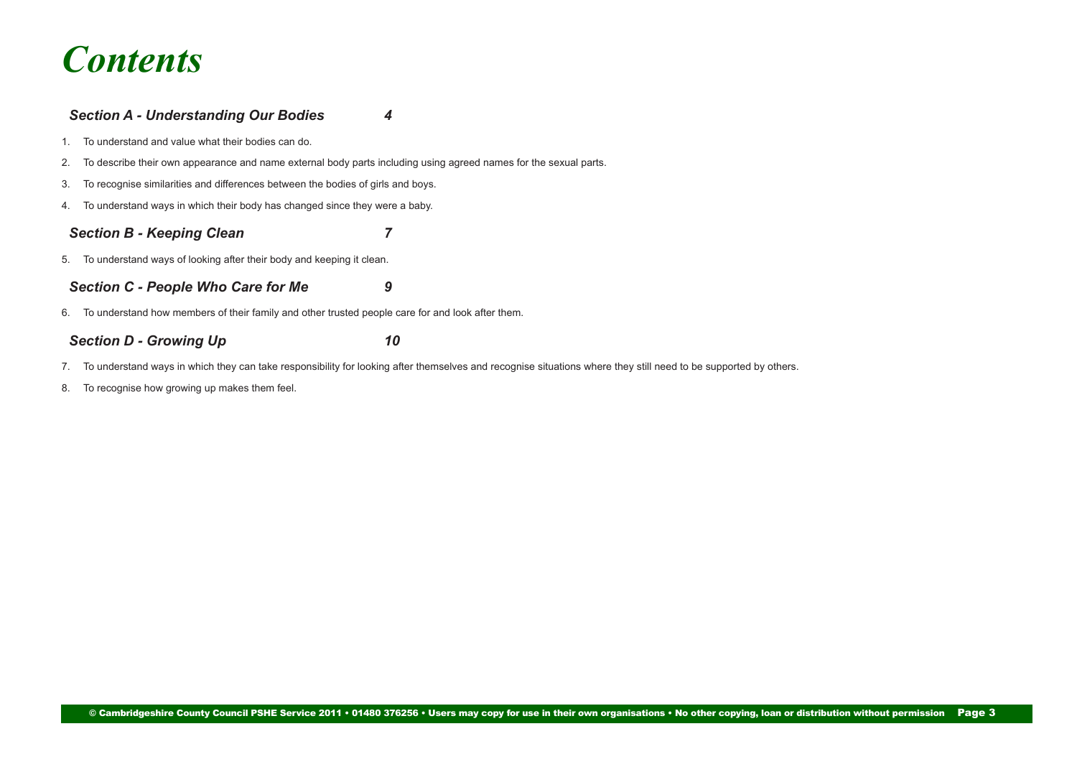# *Contents*

## *[Section A - Understanding Our Bodies 4](#page-3-0)*

- [1. To understand and value what their bodies can do.](#page-3-0)
- [2. To describe their own appearance and name external body parts including using agreed names for the sexual parts.](#page-3-0)
- [3. To recognise similarities and differences between the bodies of girls and boys.](#page-4-0)
- [4. To understand ways in which their body has changed since they were a baby.](#page-5-0)

## *[Section B - Keeping Clean 7](#page-6-0)*

[5. To understand ways of looking after their body and keeping it clean.](#page-6-0)

## *[Section C - People Who Care for Me 9](#page-8-0)*

[6. To understand how members of their family and other trusted people care for and look after them.](#page-8-0) 

## **[Section D - Growing Up 10](#page-9-0)**

- [7. To understand ways in which they can take responsibility for looking after themselves and recognise situations where they still need to be supported by others.](#page-9-0)
- [8. To recognise how growing up makes them feel.](#page-10-0)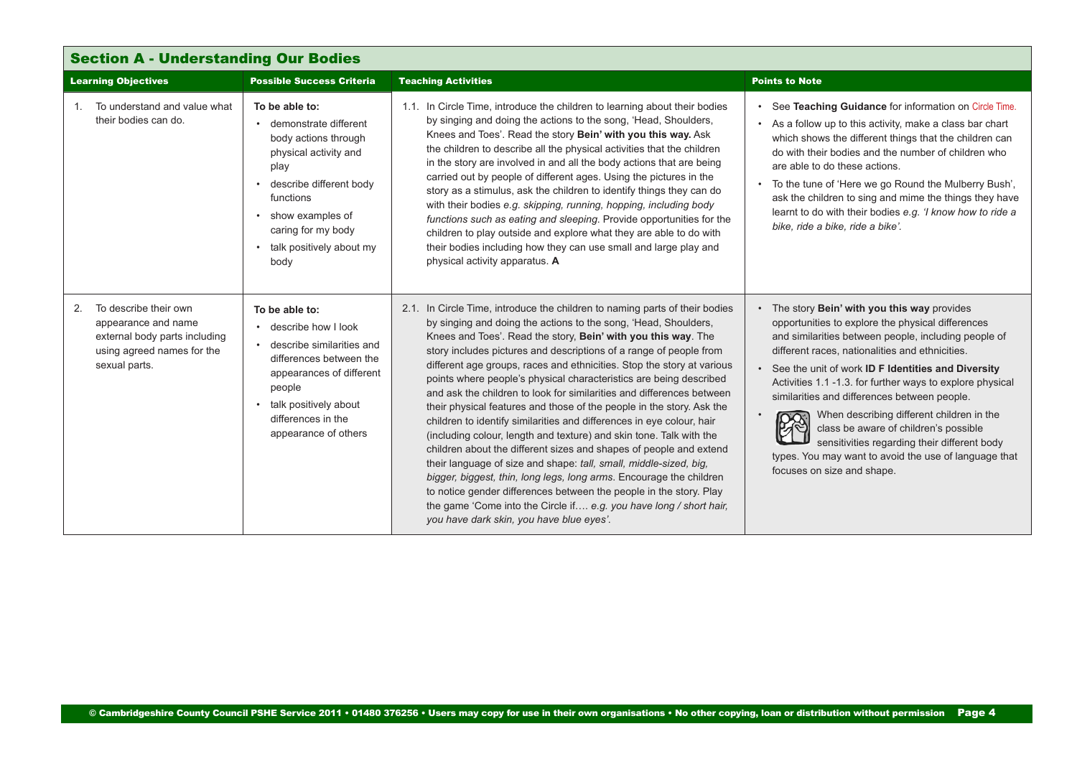<span id="page-3-0"></span>

| <b>Section A - Understanding Our Bodies</b>                                                                                        |                                                                                                                                                                                                                                |                                                                                                                                                                                                                                                                                                                                                                                                                                                                                                                                                                                                                                                                                                                                                                                                                                                                                                                                                                                                                                                                                                                                                   |                                                                                                                                                                                                                                                                                                                                                                                                                                                                                                                                                                                                                |
|------------------------------------------------------------------------------------------------------------------------------------|--------------------------------------------------------------------------------------------------------------------------------------------------------------------------------------------------------------------------------|---------------------------------------------------------------------------------------------------------------------------------------------------------------------------------------------------------------------------------------------------------------------------------------------------------------------------------------------------------------------------------------------------------------------------------------------------------------------------------------------------------------------------------------------------------------------------------------------------------------------------------------------------------------------------------------------------------------------------------------------------------------------------------------------------------------------------------------------------------------------------------------------------------------------------------------------------------------------------------------------------------------------------------------------------------------------------------------------------------------------------------------------------|----------------------------------------------------------------------------------------------------------------------------------------------------------------------------------------------------------------------------------------------------------------------------------------------------------------------------------------------------------------------------------------------------------------------------------------------------------------------------------------------------------------------------------------------------------------------------------------------------------------|
| <b>Learning Objectives</b>                                                                                                         | <b>Possible Success Criteria</b>                                                                                                                                                                                               | <b>Teaching Activities</b>                                                                                                                                                                                                                                                                                                                                                                                                                                                                                                                                                                                                                                                                                                                                                                                                                                                                                                                                                                                                                                                                                                                        | <b>Points to Note</b>                                                                                                                                                                                                                                                                                                                                                                                                                                                                                                                                                                                          |
| To understand and value what<br>$1_{-}$<br>their bodies can do.                                                                    | To be able to:<br>• demonstrate different<br>body actions through<br>physical activity and<br>play<br>• describe different body<br>functions<br>• show examples of<br>caring for my body<br>• talk positively about my<br>body | 1.1. In Circle Time, introduce the children to learning about their bodies<br>by singing and doing the actions to the song, 'Head, Shoulders,<br>Knees and Toes'. Read the story Bein' with you this way. Ask<br>the children to describe all the physical activities that the children<br>in the story are involved in and all the body actions that are being<br>carried out by people of different ages. Using the pictures in the<br>story as a stimulus, ask the children to identify things they can do<br>with their bodies e.g. skipping, running, hopping, including body<br>functions such as eating and sleeping. Provide opportunities for the<br>children to play outside and explore what they are able to do with<br>their bodies including how they can use small and large play and<br>physical activity apparatus. A                                                                                                                                                                                                                                                                                                            | See Teaching Guidance for information on Circle Time.<br>• As a follow up to this activity, make a class bar chart<br>which shows the different things that the children can<br>do with their bodies and the number of children who<br>are able to do these actions.<br>• To the tune of 'Here we go Round the Mulberry Bush',<br>ask the children to sing and mime the things they have<br>learnt to do with their bodies e.g. 'I know how to ride a<br>bike, ride a bike, ride a bike'.                                                                                                                      |
| To describe their own<br>2.<br>appearance and name<br>external body parts including<br>using agreed names for the<br>sexual parts. | To be able to:<br>• describe how I look<br>• describe similarities and<br>differences between the<br>appearances of different<br>people<br>• talk positively about<br>differences in the<br>appearance of others               | 2.1. In Circle Time, introduce the children to naming parts of their bodies<br>by singing and doing the actions to the song, 'Head, Shoulders,<br>Knees and Toes'. Read the story, Bein' with you this way. The<br>story includes pictures and descriptions of a range of people from<br>different age groups, races and ethnicities. Stop the story at various<br>points where people's physical characteristics are being described<br>and ask the children to look for similarities and differences between<br>their physical features and those of the people in the story. Ask the<br>children to identify similarities and differences in eye colour, hair<br>(including colour, length and texture) and skin tone. Talk with the<br>children about the different sizes and shapes of people and extend<br>their language of size and shape: tall, small, middle-sized, big,<br>bigger, biggest, thin, long legs, long arms. Encourage the children<br>to notice gender differences between the people in the story. Play<br>the game 'Come into the Circle if e.g. you have long / short hair,<br>you have dark skin, you have blue eyes'. | • The story Bein' with you this way provides<br>opportunities to explore the physical differences<br>and similarities between people, including people of<br>different races, nationalities and ethnicities.<br>• See the unit of work ID F Identities and Diversity<br>Activities 1.1 -1.3. for further ways to explore physical<br>similarities and differences between people.<br>When describing different children in the<br>class be aware of children's possible<br>sensitivities regarding their different body<br>types. You may want to avoid the use of language that<br>focuses on size and shape. |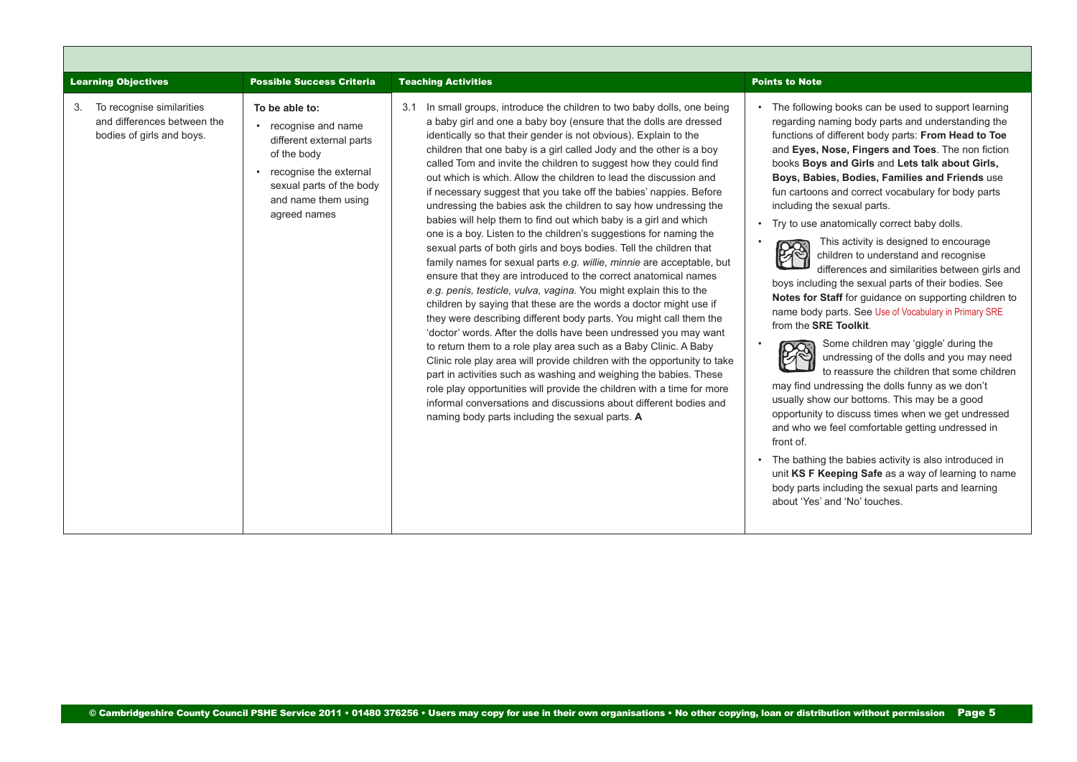<span id="page-4-0"></span>

| <b>Learning Objectives</b>                                                                  | <b>Possible Success Criteria</b>                                                                                                                                               | <b>Teaching Activities</b>                                                                                                                                                                                                                                                                                                                                                                                                                                                                                                                                                                                                                                                                                                                                                                                                                                                                                                                                                                                                                                                                                                                                                                                                                                                                                                                                                                                                                                                                                                                                                                                                                             | <b>Points to Note</b>                                                                                                                                                                                                                                                                                                                                                                                                                                                                                                                                                                                                                                                                                                                                                                                                                                                                                                                                                                                                                                                                                                                                                                                                                                                                                                                                                                                |
|---------------------------------------------------------------------------------------------|--------------------------------------------------------------------------------------------------------------------------------------------------------------------------------|--------------------------------------------------------------------------------------------------------------------------------------------------------------------------------------------------------------------------------------------------------------------------------------------------------------------------------------------------------------------------------------------------------------------------------------------------------------------------------------------------------------------------------------------------------------------------------------------------------------------------------------------------------------------------------------------------------------------------------------------------------------------------------------------------------------------------------------------------------------------------------------------------------------------------------------------------------------------------------------------------------------------------------------------------------------------------------------------------------------------------------------------------------------------------------------------------------------------------------------------------------------------------------------------------------------------------------------------------------------------------------------------------------------------------------------------------------------------------------------------------------------------------------------------------------------------------------------------------------------------------------------------------------|------------------------------------------------------------------------------------------------------------------------------------------------------------------------------------------------------------------------------------------------------------------------------------------------------------------------------------------------------------------------------------------------------------------------------------------------------------------------------------------------------------------------------------------------------------------------------------------------------------------------------------------------------------------------------------------------------------------------------------------------------------------------------------------------------------------------------------------------------------------------------------------------------------------------------------------------------------------------------------------------------------------------------------------------------------------------------------------------------------------------------------------------------------------------------------------------------------------------------------------------------------------------------------------------------------------------------------------------------------------------------------------------------|
| To recognise similarities<br>3.<br>and differences between the<br>bodies of girls and boys. | To be able to:<br>• recognise and name<br>different external parts<br>of the body<br>recognise the external<br>sexual parts of the body<br>and name them using<br>agreed names | In small groups, introduce the children to two baby dolls, one being<br>3.1<br>a baby girl and one a baby boy (ensure that the dolls are dressed<br>identically so that their gender is not obvious). Explain to the<br>children that one baby is a girl called Jody and the other is a boy<br>called Tom and invite the children to suggest how they could find<br>out which is which. Allow the children to lead the discussion and<br>if necessary suggest that you take off the babies' nappies. Before<br>undressing the babies ask the children to say how undressing the<br>babies will help them to find out which baby is a girl and which<br>one is a boy. Listen to the children's suggestions for naming the<br>sexual parts of both girls and boys bodies. Tell the children that<br>family names for sexual parts e.g. willie, minnie are acceptable, but<br>ensure that they are introduced to the correct anatomical names<br>e.g. penis, testicle, vulva, vagina. You might explain this to the<br>children by saying that these are the words a doctor might use if<br>they were describing different body parts. You might call them the<br>'doctor' words. After the dolls have been undressed you may want<br>to return them to a role play area such as a Baby Clinic. A Baby<br>Clinic role play area will provide children with the opportunity to take<br>part in activities such as washing and weighing the babies. These<br>role play opportunities will provide the children with a time for more<br>informal conversations and discussions about different bodies and<br>naming body parts including the sexual parts. A | • The following books can be used to support learning<br>regarding naming body parts and understanding the<br>functions of different body parts: From Head to Toe<br>and Eyes, Nose, Fingers and Toes. The non fiction<br>books Boys and Girls and Lets talk about Girls,<br>Boys, Babies, Bodies, Families and Friends use<br>fun cartoons and correct vocabulary for body parts<br>including the sexual parts.<br>• Try to use anatomically correct baby dolls.<br>This activity is designed to encourage<br>children to understand and recognise<br>differences and similarities between girls and<br>boys including the sexual parts of their bodies. See<br>Notes for Staff for guidance on supporting children to<br>name body parts. See Use of Vocabulary in Primary SRE<br>from the <b>SRE Toolkit.</b><br>Some children may 'giggle' during the<br>$\bullet$<br>undressing of the dolls and you may need<br>to reassure the children that some children<br>may find undressing the dolls funny as we don't<br>usually show our bottoms. This may be a good<br>opportunity to discuss times when we get undressed<br>and who we feel comfortable getting undressed in<br>front of.<br>• The bathing the babies activity is also introduced in<br>unit KS F Keeping Safe as a way of learning to name<br>body parts including the sexual parts and learning<br>about 'Yes' and 'No' touches. |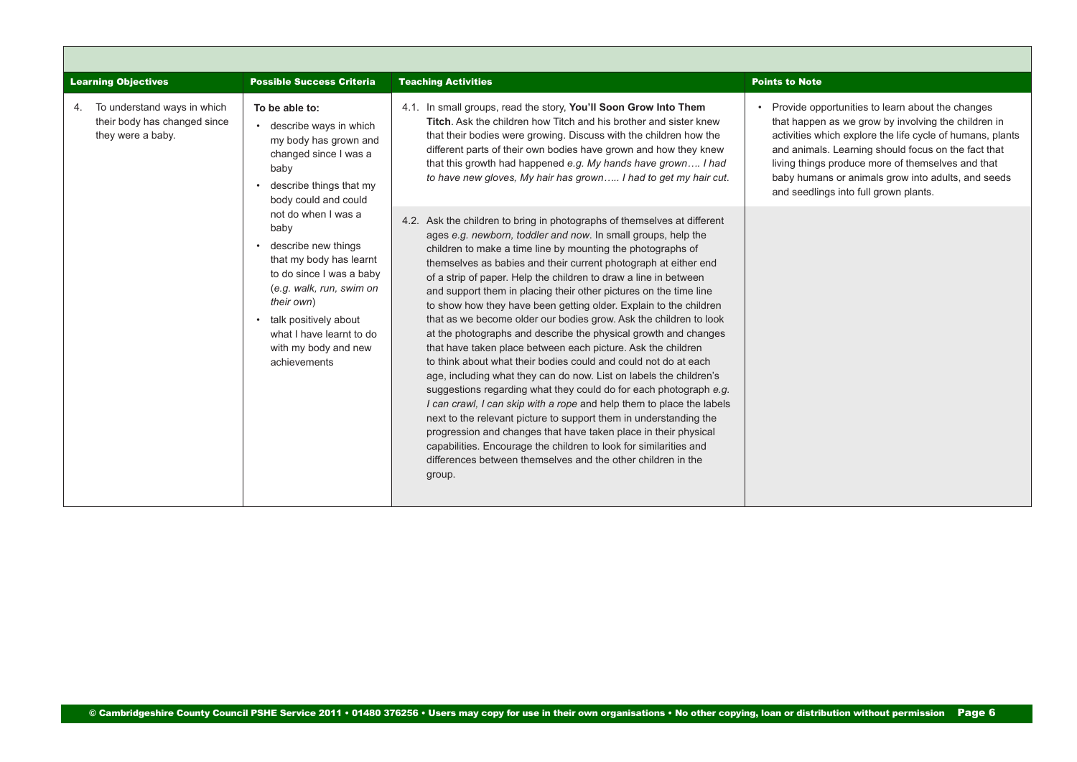<span id="page-5-0"></span>

| <b>Learning Objectives</b>                                                             | <b>Possible Success Criteria</b>                                                                                                                                                                                                                     | <b>Teaching Activities</b>                                                                                                                                                                                                                                                                                                                                                                                                                                                                                                                                                                                                                                                                                                                                                                                                                                                                                                                                                                                                                                                                                                                                                                                                                                                      | <b>Points to Note</b>                                                                                                                                                                                                                                                                                                                                                           |
|----------------------------------------------------------------------------------------|------------------------------------------------------------------------------------------------------------------------------------------------------------------------------------------------------------------------------------------------------|---------------------------------------------------------------------------------------------------------------------------------------------------------------------------------------------------------------------------------------------------------------------------------------------------------------------------------------------------------------------------------------------------------------------------------------------------------------------------------------------------------------------------------------------------------------------------------------------------------------------------------------------------------------------------------------------------------------------------------------------------------------------------------------------------------------------------------------------------------------------------------------------------------------------------------------------------------------------------------------------------------------------------------------------------------------------------------------------------------------------------------------------------------------------------------------------------------------------------------------------------------------------------------|---------------------------------------------------------------------------------------------------------------------------------------------------------------------------------------------------------------------------------------------------------------------------------------------------------------------------------------------------------------------------------|
| To understand ways in which<br>4.<br>their body has changed since<br>they were a baby. | To be able to:<br>• describe ways in which<br>my body has grown and<br>changed since I was a<br>baby<br>• describe things that my<br>body could and could                                                                                            | 4.1. In small groups, read the story, You'll Soon Grow Into Them<br><b>Titch.</b> Ask the children how Titch and his brother and sister knew<br>that their bodies were growing. Discuss with the children how the<br>different parts of their own bodies have grown and how they knew<br>that this growth had happened e.g. My hands have grown I had<br>to have new gloves, My hair has grown I had to get my hair cut.                                                                                                                                                                                                                                                                                                                                                                                                                                                                                                                                                                                                                                                                                                                                                                                                                                                        | Provide opportunities to learn about the changes<br>that happen as we grow by involving the children in<br>activities which explore the life cycle of humans, plants<br>and animals. Learning should focus on the fact that<br>living things produce more of themselves and that<br>baby humans or animals grow into adults, and seeds<br>and seedlings into full grown plants. |
|                                                                                        | not do when I was a<br>baby<br>• describe new things<br>that my body has learnt<br>to do since I was a baby<br>(e.g. walk, run, swim on<br>their own)<br>• talk positively about<br>what I have learnt to do<br>with my body and new<br>achievements | 4.2. Ask the children to bring in photographs of themselves at different<br>ages e.g. newborn, toddler and now. In small groups, help the<br>children to make a time line by mounting the photographs of<br>themselves as babies and their current photograph at either end<br>of a strip of paper. Help the children to draw a line in between<br>and support them in placing their other pictures on the time line<br>to show how they have been getting older. Explain to the children<br>that as we become older our bodies grow. Ask the children to look<br>at the photographs and describe the physical growth and changes<br>that have taken place between each picture. Ask the children<br>to think about what their bodies could and could not do at each<br>age, including what they can do now. List on labels the children's<br>suggestions regarding what they could do for each photograph e.g.<br>I can crawl, I can skip with a rope and help them to place the labels<br>next to the relevant picture to support them in understanding the<br>progression and changes that have taken place in their physical<br>capabilities. Encourage the children to look for similarities and<br>differences between themselves and the other children in the<br>group. |                                                                                                                                                                                                                                                                                                                                                                                 |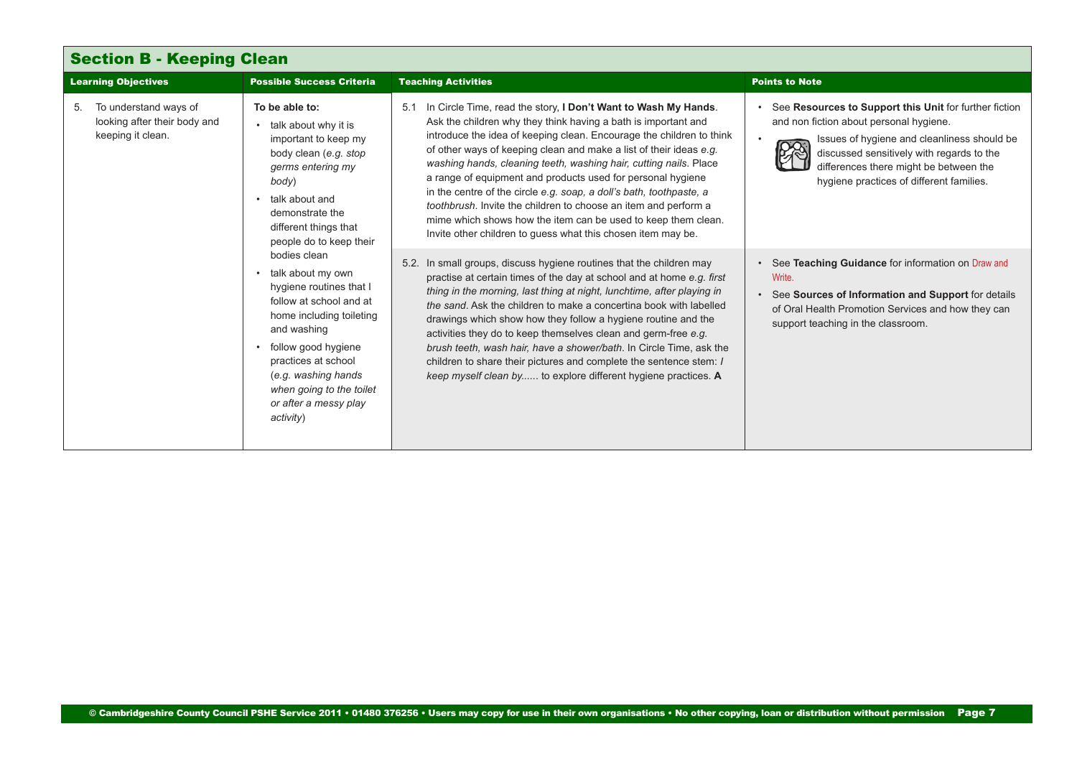<span id="page-6-0"></span>

| <b>Section B - Keeping Clean</b>                                                 |                                                                                                                                                                                                                                                                           |                                                                                                                                                                                                                                                                                                                                                                                                                                                                                                                                                                                                                                                                                                   |                                                                                                                                                                                                                                                                                     |
|----------------------------------------------------------------------------------|---------------------------------------------------------------------------------------------------------------------------------------------------------------------------------------------------------------------------------------------------------------------------|---------------------------------------------------------------------------------------------------------------------------------------------------------------------------------------------------------------------------------------------------------------------------------------------------------------------------------------------------------------------------------------------------------------------------------------------------------------------------------------------------------------------------------------------------------------------------------------------------------------------------------------------------------------------------------------------------|-------------------------------------------------------------------------------------------------------------------------------------------------------------------------------------------------------------------------------------------------------------------------------------|
| <b>Learning Objectives</b>                                                       | <b>Possible Success Criteria</b>                                                                                                                                                                                                                                          | <b>Teaching Activities</b>                                                                                                                                                                                                                                                                                                                                                                                                                                                                                                                                                                                                                                                                        | <b>Points to Note</b>                                                                                                                                                                                                                                                               |
| To understand ways of<br>5.<br>looking after their body and<br>keeping it clean. | To be able to:<br>talk about why it is<br>important to keep my<br>body clean (e.g. stop<br>germs entering my<br>body)<br>talk about and<br>demonstrate the<br>different things that<br>people do to keep their                                                            | 5.1 In Circle Time, read the story, I Don't Want to Wash My Hands.<br>Ask the children why they think having a bath is important and<br>introduce the idea of keeping clean. Encourage the children to think<br>of other ways of keeping clean and make a list of their ideas e.g.<br>washing hands, cleaning teeth, washing hair, cutting nails. Place<br>a range of equipment and products used for personal hygiene<br>in the centre of the circle e.g. soap, a doll's bath, toothpaste, a<br>toothbrush. Invite the children to choose an item and perform a<br>mime which shows how the item can be used to keep them clean.<br>Invite other children to guess what this chosen item may be. | See Resources to Support this Unit for further fiction<br>and non fiction about personal hygiene.<br>Issues of hygiene and cleanliness should be<br>discussed sensitively with regards to the<br>differences there might be between the<br>hygiene practices of different families. |
|                                                                                  | bodies clean<br>talk about my own<br>hygiene routines that I<br>follow at school and at<br>home including toileting<br>and washing<br>follow good hygiene<br>practices at school<br>(e.g. washing hands<br>when going to the toilet<br>or after a messy play<br>activity) | 5.2. In small groups, discuss hygiene routines that the children may<br>practise at certain times of the day at school and at home e.g. first<br>thing in the morning, last thing at night, lunchtime, after playing in<br>the sand. Ask the children to make a concertina book with labelled<br>drawings which show how they follow a hygiene routine and the<br>activities they do to keep themselves clean and germ-free e.g.<br>brush teeth, wash hair, have a shower/bath. In Circle Time, ask the<br>children to share their pictures and complete the sentence stem: I<br>keep myself clean by to explore different hygiene practices. A                                                   | See Teaching Guidance for information on Draw and<br>Write.<br>See Sources of Information and Support for details<br>of Oral Health Promotion Services and how they can<br>support teaching in the classroom.                                                                       |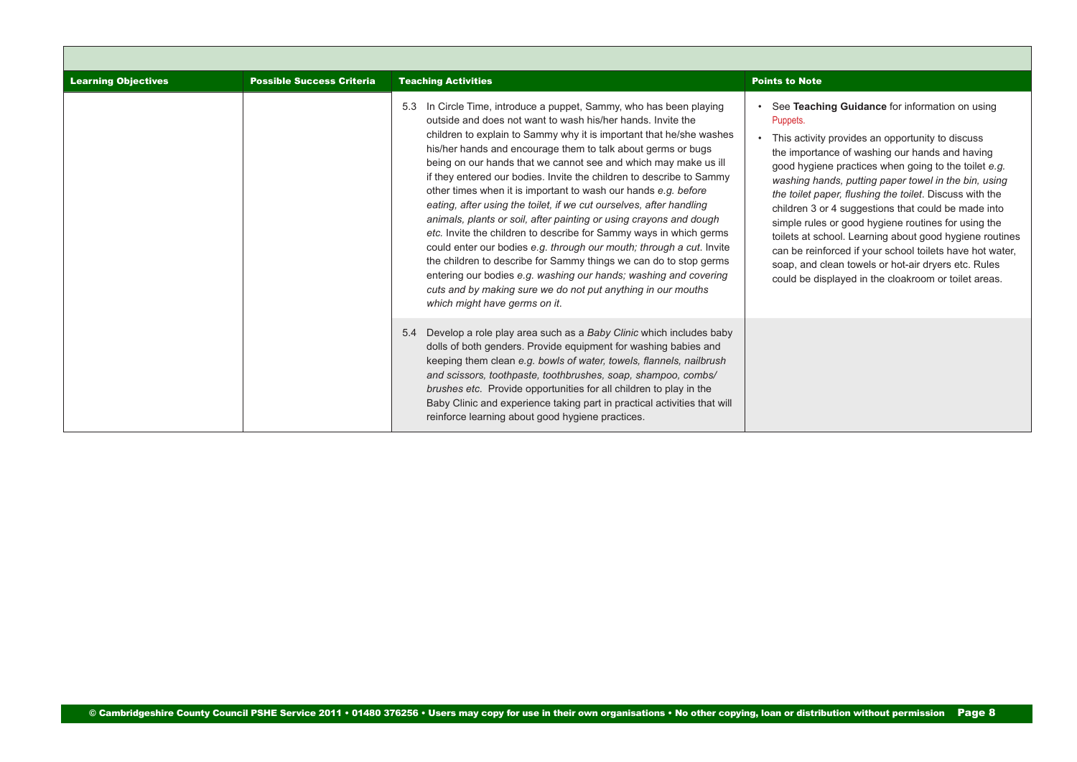| <b>Learning Objectives</b> | <b>Possible Success Criteria</b> | <b>Teaching Activities</b>                                                                                                                                                                                                                                                                                                                                                                                                                                                                                                                                                                                                                                                                                                                                                                                                                                                                                                                                                                                                  | <b>Points to Note</b>                                                                                                                                                                                                                                                                                                                                                                                                                                                                                                                                                                                                                                                                           |
|----------------------------|----------------------------------|-----------------------------------------------------------------------------------------------------------------------------------------------------------------------------------------------------------------------------------------------------------------------------------------------------------------------------------------------------------------------------------------------------------------------------------------------------------------------------------------------------------------------------------------------------------------------------------------------------------------------------------------------------------------------------------------------------------------------------------------------------------------------------------------------------------------------------------------------------------------------------------------------------------------------------------------------------------------------------------------------------------------------------|-------------------------------------------------------------------------------------------------------------------------------------------------------------------------------------------------------------------------------------------------------------------------------------------------------------------------------------------------------------------------------------------------------------------------------------------------------------------------------------------------------------------------------------------------------------------------------------------------------------------------------------------------------------------------------------------------|
|                            |                                  | 5.3 In Circle Time, introduce a puppet, Sammy, who has been playing<br>outside and does not want to wash his/her hands. Invite the<br>children to explain to Sammy why it is important that he/she washes<br>his/her hands and encourage them to talk about germs or bugs<br>being on our hands that we cannot see and which may make us ill<br>if they entered our bodies. Invite the children to describe to Sammy<br>other times when it is important to wash our hands e.g. before<br>eating, after using the toilet, if we cut ourselves, after handling<br>animals, plants or soil, after painting or using crayons and dough<br>etc. Invite the children to describe for Sammy ways in which germs<br>could enter our bodies e.g. through our mouth; through a cut. Invite<br>the children to describe for Sammy things we can do to stop germs<br>entering our bodies e.g. washing our hands; washing and covering<br>cuts and by making sure we do not put anything in our mouths<br>which might have germs on it. | See Teaching Guidance for information on using<br>Puppets.<br>This activity provides an opportunity to discuss<br>the importance of washing our hands and having<br>good hygiene practices when going to the toilet e.g.<br>washing hands, putting paper towel in the bin, using<br>the toilet paper, flushing the toilet. Discuss with the<br>children 3 or 4 suggestions that could be made into<br>simple rules or good hygiene routines for using the<br>toilets at school. Learning about good hygiene routines<br>can be reinforced if your school toilets have hot water,<br>soap, and clean towels or hot-air dryers etc. Rules<br>could be displayed in the cloakroom or toilet areas. |
|                            |                                  | 5.4 Develop a role play area such as a Baby Clinic which includes baby<br>dolls of both genders. Provide equipment for washing babies and<br>keeping them clean e.g. bowls of water, towels, flannels, nailbrush<br>and scissors, toothpaste, toothbrushes, soap, shampoo, combs/<br>brushes etc. Provide opportunities for all children to play in the<br>Baby Clinic and experience taking part in practical activities that will<br>reinforce learning about good hygiene practices.                                                                                                                                                                                                                                                                                                                                                                                                                                                                                                                                     |                                                                                                                                                                                                                                                                                                                                                                                                                                                                                                                                                                                                                                                                                                 |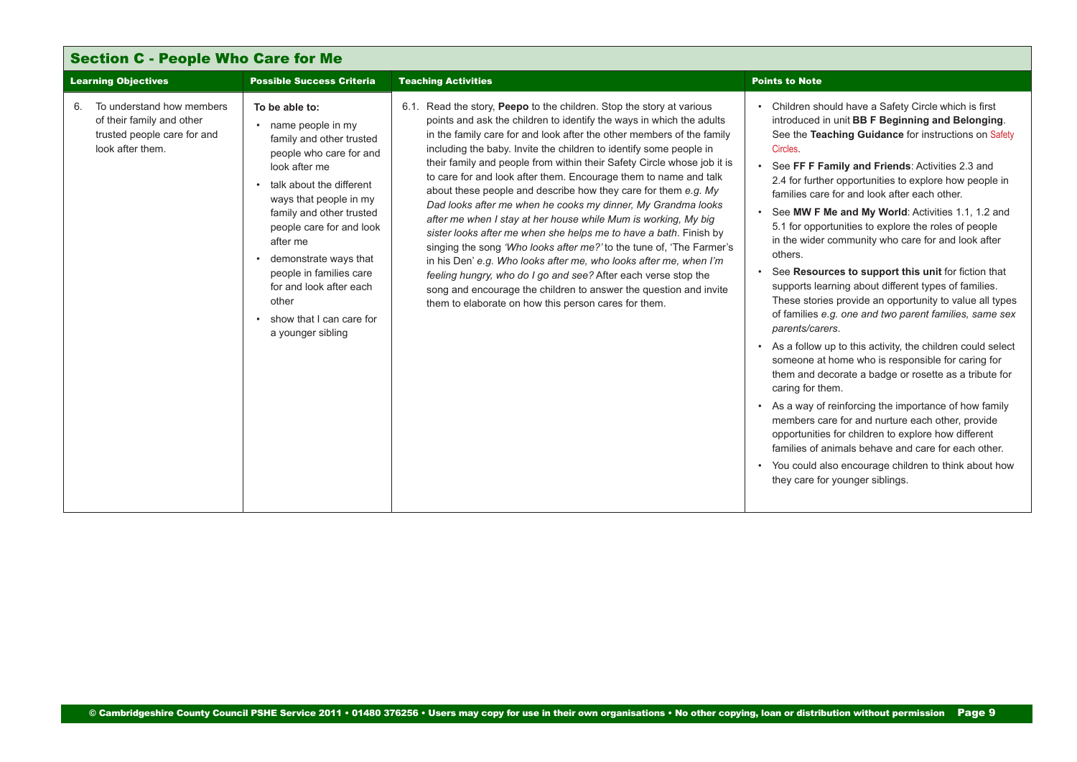<span id="page-8-0"></span>

| <b>Learning Objectives</b>                                                                                      | <b>Possible Success Criteria</b>                                                                                                                                                                                                                                                                                                                                                            | <b>Teaching Activities</b>                                                                                                                                                                                                                                                                                                                                                                                                                                                                                                                                                                                                                                                                                                                                                                                                                                                                                                                                                                                                                                              | <b>Points to Note</b>                                                                                                                                                                                                                                                                                                                                                                                                                                                                                                                                                                                                                                                                                                                                                                                                                                                                                                                                                                                                                                                                                                                                                                                                                                                                                                                |
|-----------------------------------------------------------------------------------------------------------------|---------------------------------------------------------------------------------------------------------------------------------------------------------------------------------------------------------------------------------------------------------------------------------------------------------------------------------------------------------------------------------------------|-------------------------------------------------------------------------------------------------------------------------------------------------------------------------------------------------------------------------------------------------------------------------------------------------------------------------------------------------------------------------------------------------------------------------------------------------------------------------------------------------------------------------------------------------------------------------------------------------------------------------------------------------------------------------------------------------------------------------------------------------------------------------------------------------------------------------------------------------------------------------------------------------------------------------------------------------------------------------------------------------------------------------------------------------------------------------|--------------------------------------------------------------------------------------------------------------------------------------------------------------------------------------------------------------------------------------------------------------------------------------------------------------------------------------------------------------------------------------------------------------------------------------------------------------------------------------------------------------------------------------------------------------------------------------------------------------------------------------------------------------------------------------------------------------------------------------------------------------------------------------------------------------------------------------------------------------------------------------------------------------------------------------------------------------------------------------------------------------------------------------------------------------------------------------------------------------------------------------------------------------------------------------------------------------------------------------------------------------------------------------------------------------------------------------|
| To understand how members<br>6.<br>of their family and other<br>trusted people care for and<br>look after them. | To be able to:<br>name people in my<br>$\bullet$<br>family and other trusted<br>people who care for and<br>look after me<br>talk about the different<br>ways that people in my<br>family and other trusted<br>people care for and look<br>after me<br>demonstrate ways that<br>people in families care<br>for and look after each<br>other<br>show that I can care for<br>a younger sibling | 6.1. Read the story, <b>Peepo</b> to the children. Stop the story at various<br>points and ask the children to identify the ways in which the adults<br>in the family care for and look after the other members of the family<br>including the baby. Invite the children to identify some people in<br>their family and people from within their Safety Circle whose job it is<br>to care for and look after them. Encourage them to name and talk<br>about these people and describe how they care for them e.g. My<br>Dad looks after me when he cooks my dinner, My Grandma looks<br>after me when I stay at her house while Mum is working, My big<br>sister looks after me when she helps me to have a bath. Finish by<br>singing the song 'Who looks after me?' to the tune of, 'The Farmer's<br>in his Den' e.g. Who looks after me, who looks after me, when I'm<br>feeling hungry, who do I go and see? After each verse stop the<br>song and encourage the children to answer the question and invite<br>them to elaborate on how this person cares for them. | Children should have a Safety Circle which is first<br>introduced in unit BB F Beginning and Belonging.<br>See the Teaching Guidance for instructions on Safety<br>Circles.<br>• See FF F Family and Friends: Activities 2.3 and<br>2.4 for further opportunities to explore how people in<br>families care for and look after each other.<br>See MW F Me and My World: Activities 1.1, 1.2 and<br>$\bullet$<br>5.1 for opportunities to explore the roles of people<br>in the wider community who care for and look after<br>others.<br>See Resources to support this unit for fiction that<br>$\bullet$<br>supports learning about different types of families.<br>These stories provide an opportunity to value all types<br>of families e.g. one and two parent families, same sex<br>parents/carers.<br>• As a follow up to this activity, the children could select<br>someone at home who is responsible for caring for<br>them and decorate a badge or rosette as a tribute for<br>caring for them.<br>• As a way of reinforcing the importance of how family<br>members care for and nurture each other, provide<br>opportunities for children to explore how different<br>families of animals behave and care for each other.<br>• You could also encourage children to think about how<br>they care for younger siblings. |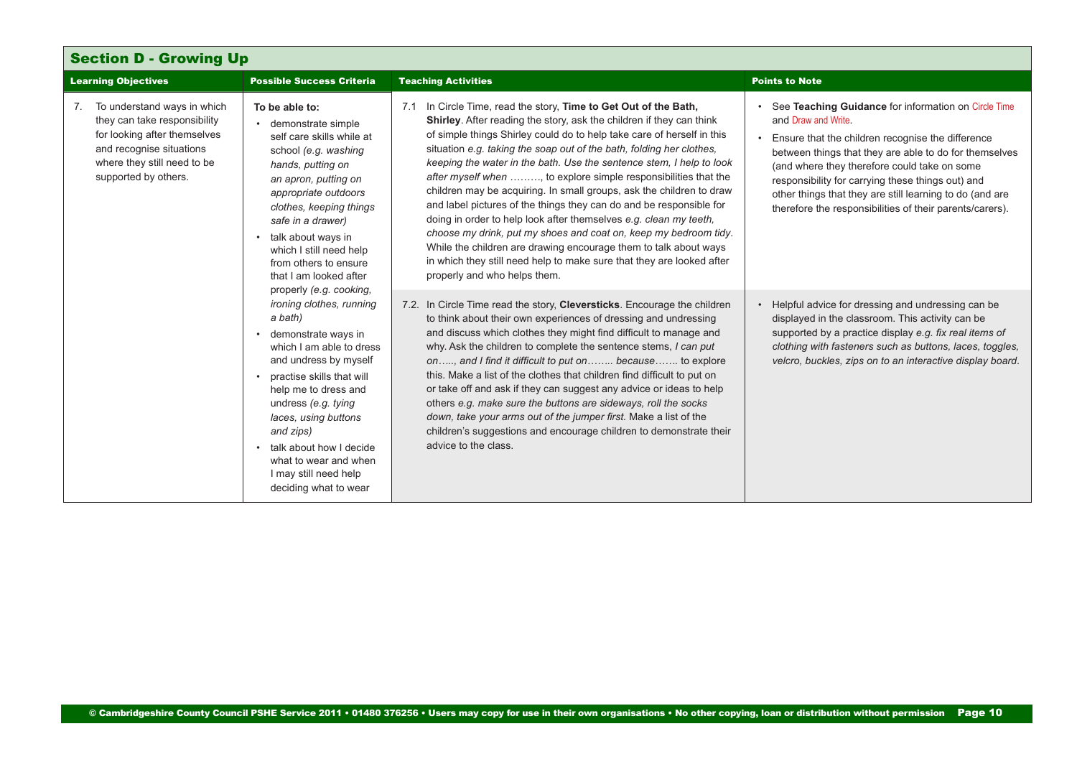<span id="page-9-0"></span>

| <b>Section D - Growing Up</b>                                                                                                                                                     |                                                                                                                                                                                                                                                                                                                                                                   |                                                                                                                                                                                                                                                                                                                                                                                                                                                                                                                                                                                                                                                                                                                                                                                                                                                                                                            |                                                                                                                                                                                                                                                                                                                                                                                                                         |
|-----------------------------------------------------------------------------------------------------------------------------------------------------------------------------------|-------------------------------------------------------------------------------------------------------------------------------------------------------------------------------------------------------------------------------------------------------------------------------------------------------------------------------------------------------------------|------------------------------------------------------------------------------------------------------------------------------------------------------------------------------------------------------------------------------------------------------------------------------------------------------------------------------------------------------------------------------------------------------------------------------------------------------------------------------------------------------------------------------------------------------------------------------------------------------------------------------------------------------------------------------------------------------------------------------------------------------------------------------------------------------------------------------------------------------------------------------------------------------------|-------------------------------------------------------------------------------------------------------------------------------------------------------------------------------------------------------------------------------------------------------------------------------------------------------------------------------------------------------------------------------------------------------------------------|
| <b>Learning Objectives</b>                                                                                                                                                        | <b>Possible Success Criteria</b>                                                                                                                                                                                                                                                                                                                                  | <b>Teaching Activities</b>                                                                                                                                                                                                                                                                                                                                                                                                                                                                                                                                                                                                                                                                                                                                                                                                                                                                                 | <b>Points to Note</b>                                                                                                                                                                                                                                                                                                                                                                                                   |
| 7. To understand ways in which<br>they can take responsibility<br>for looking after themselves<br>and recognise situations<br>where they still need to be<br>supported by others. | To be able to:<br>• demonstrate simple<br>self care skills while at<br>school (e.g. washing<br>hands, putting on<br>an apron, putting on<br>appropriate outdoors<br>clothes, keeping things<br>safe in a drawer)<br>talk about ways in<br>which I still need help<br>from others to ensure<br>that I am looked after                                              | 7.1 In Circle Time, read the story, Time to Get Out of the Bath,<br>Shirley. After reading the story, ask the children if they can think<br>of simple things Shirley could do to help take care of herself in this<br>situation e.g. taking the soap out of the bath, folding her clothes,<br>keeping the water in the bath. Use the sentence stem, I help to look<br>after myself when , to explore simple responsibilities that the<br>children may be acquiring. In small groups, ask the children to draw<br>and label pictures of the things they can do and be responsible for<br>doing in order to help look after themselves e.g. clean my teeth,<br>choose my drink, put my shoes and coat on, keep my bedroom tidy.<br>While the children are drawing encourage them to talk about ways<br>in which they still need help to make sure that they are looked after<br>properly and who helps them. | See Teaching Guidance for information on Circle Time<br>and Draw and Write.<br>Ensure that the children recognise the difference<br>between things that they are able to do for themselves<br>(and where they therefore could take on some<br>responsibility for carrying these things out) and<br>other things that they are still learning to do (and are<br>therefore the responsibilities of their parents/carers). |
|                                                                                                                                                                                   | properly (e.g. cooking,<br>ironing clothes, running<br>a bath)<br>demonstrate ways in<br>which I am able to dress<br>and undress by myself<br>practise skills that will<br>help me to dress and<br>undress (e.g. tying<br>laces, using buttons<br>and zips)<br>talk about how I decide<br>what to wear and when<br>I may still need help<br>deciding what to wear | 7.2. In Circle Time read the story, Cleversticks. Encourage the children<br>to think about their own experiences of dressing and undressing<br>and discuss which clothes they might find difficult to manage and<br>why. Ask the children to complete the sentence stems, I can put<br>on, and I find it difficult to put on because to explore<br>this. Make a list of the clothes that children find difficult to put on<br>or take off and ask if they can suggest any advice or ideas to help<br>others e.g. make sure the buttons are sideways, roll the socks<br>down, take your arms out of the jumper first. Make a list of the<br>children's suggestions and encourage children to demonstrate their<br>advice to the class.                                                                                                                                                                      | Helpful advice for dressing and undressing can be<br>displayed in the classroom. This activity can be<br>supported by a practice display e.g. fix real items of<br>clothing with fasteners such as buttons, laces, toggles,<br>velcro, buckles, zips on to an interactive display board.                                                                                                                                |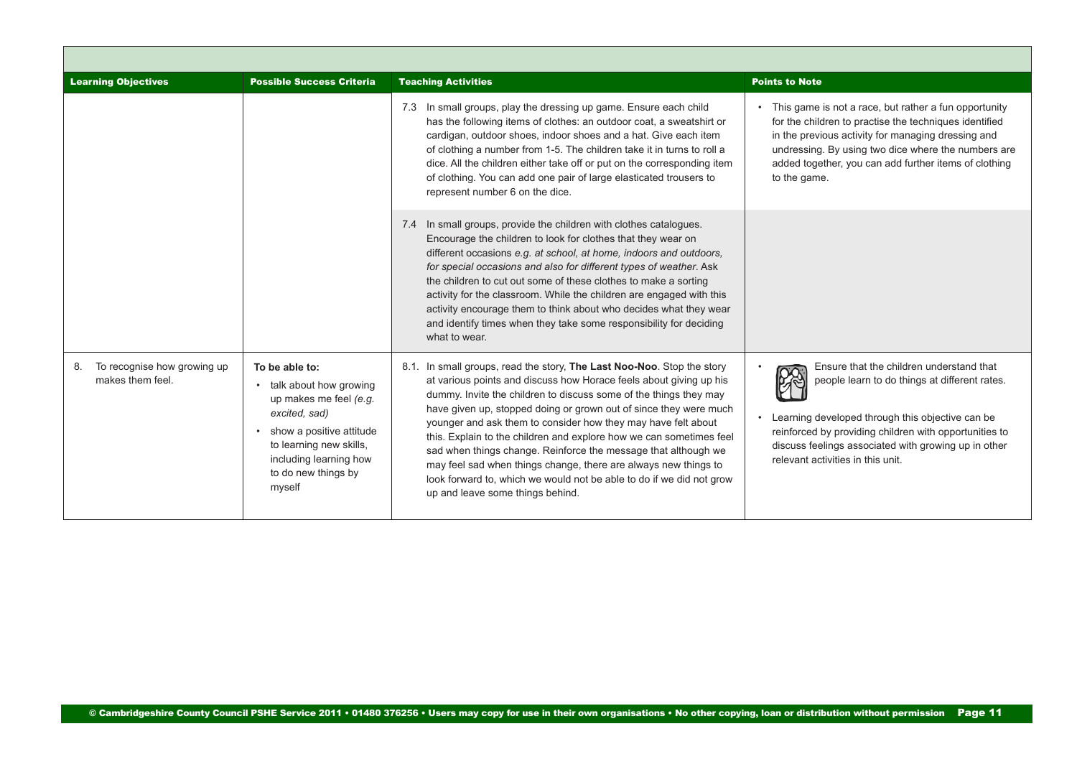<span id="page-10-0"></span>

| <b>Learning Objectives</b>                            | <b>Possible Success Criteria</b>                                                                                                                                                                          | <b>Teaching Activities</b>                                                                                                                                                                                                                                                                                                                                                                                                                                                                                                                                                                                                                                                      | <b>Points to Note</b>                                                                                                                                                                                                                                                                                 |
|-------------------------------------------------------|-----------------------------------------------------------------------------------------------------------------------------------------------------------------------------------------------------------|---------------------------------------------------------------------------------------------------------------------------------------------------------------------------------------------------------------------------------------------------------------------------------------------------------------------------------------------------------------------------------------------------------------------------------------------------------------------------------------------------------------------------------------------------------------------------------------------------------------------------------------------------------------------------------|-------------------------------------------------------------------------------------------------------------------------------------------------------------------------------------------------------------------------------------------------------------------------------------------------------|
|                                                       |                                                                                                                                                                                                           | 7.3 In small groups, play the dressing up game. Ensure each child<br>has the following items of clothes: an outdoor coat, a sweatshirt or<br>cardigan, outdoor shoes, indoor shoes and a hat. Give each item<br>of clothing a number from 1-5. The children take it in turns to roll a<br>dice. All the children either take off or put on the corresponding item<br>of clothing. You can add one pair of large elasticated trousers to<br>represent number 6 on the dice.                                                                                                                                                                                                      | This game is not a race, but rather a fun opportunity<br>for the children to practise the techniques identified<br>in the previous activity for managing dressing and<br>undressing. By using two dice where the numbers are<br>added together, you can add further items of clothing<br>to the game. |
|                                                       |                                                                                                                                                                                                           | 7.4 In small groups, provide the children with clothes catalogues.<br>Encourage the children to look for clothes that they wear on<br>different occasions e.g. at school, at home, indoors and outdoors,<br>for special occasions and also for different types of weather. Ask<br>the children to cut out some of these clothes to make a sorting<br>activity for the classroom. While the children are engaged with this<br>activity encourage them to think about who decides what they wear<br>and identify times when they take some responsibility for deciding<br>what to wear.                                                                                           |                                                                                                                                                                                                                                                                                                       |
| To recognise how growing up<br>8.<br>makes them feel. | To be able to:<br>• talk about how growing<br>up makes me feel (e.g.<br>excited, sad)<br>• show a positive attitude<br>to learning new skills,<br>including learning how<br>to do new things by<br>myself | 8.1. In small groups, read the story, The Last Noo-Noo. Stop the story<br>at various points and discuss how Horace feels about giving up his<br>dummy. Invite the children to discuss some of the things they may<br>have given up, stopped doing or grown out of since they were much<br>younger and ask them to consider how they may have felt about<br>this. Explain to the children and explore how we can sometimes feel<br>sad when things change. Reinforce the message that although we<br>may feel sad when things change, there are always new things to<br>look forward to, which we would not be able to do if we did not grow<br>up and leave some things behind. | Ensure that the children understand that<br>people learn to do things at different rates.<br>Learning developed through this objective can be<br>reinforced by providing children with opportunities to<br>discuss feelings associated with growing up in other<br>relevant activities in this unit.  |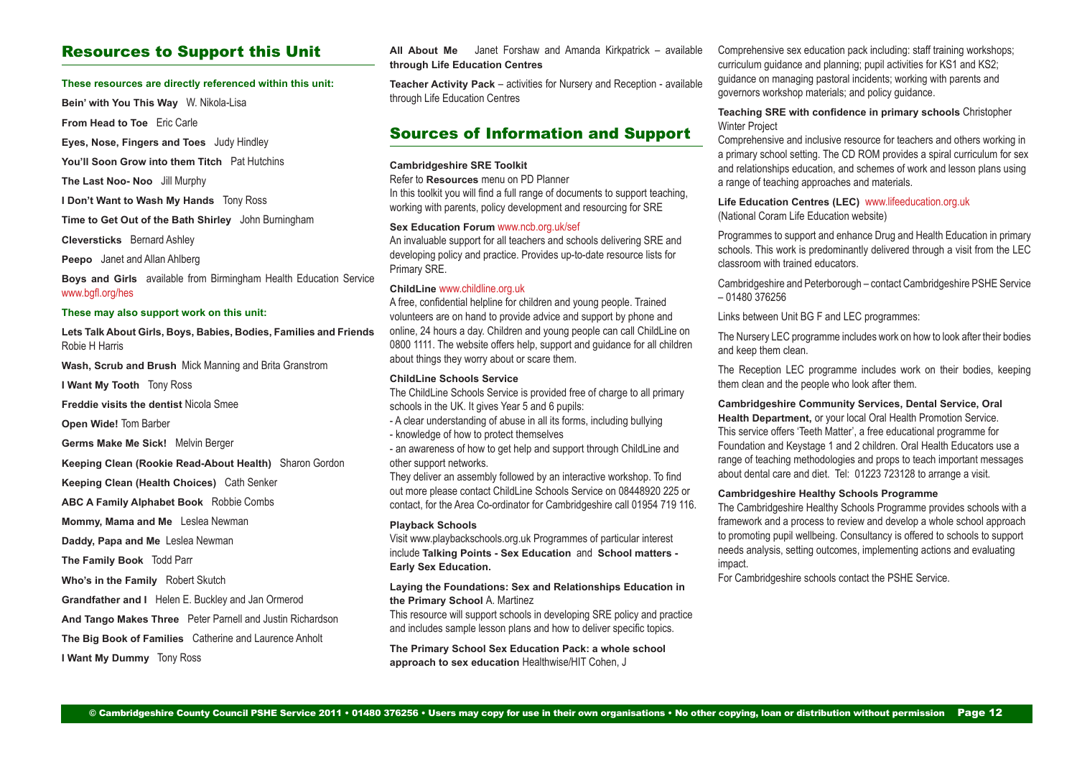## Resources to Support this Unit

#### **These resources are directly referenced within this unit:**

**Bein' with You This Way** W. Nikola-Lisa

**From Head to Toe** Eric Carle

**Eyes, Nose, Fingers and Toes** Judy Hindley

**You'll Soon Grow into them Titch** Pat Hutchins

**The Last Noo- Noo** Jill Murphy

**I Don't Want to Wash My Hands** Tony Ross

**Time to Get Out of the Bath Shirley** John Burningham

**Cleversticks** Bernard Ashley

**Peepo** Janet and Allan Ahlberg

**Boys and Girls** available from Birmingham Health Education Service [www.bgfl.org/hes](http://www.bgfl.org/hes)

#### **These may also support work on this unit:**

**Lets Talk About Girls, Boys, Babies, Bodies, Families and Friends** Robie H Harris

**Wash, Scrub and Brush** Mick Manning and Brita Granstrom

**I Want My Tooth** Tony Ross

**Freddie visits the dentist** Nicola Smee

**Open Wide!** Tom Barber

**Germs Make Me Sick!** Melvin Berger

**Keeping Clean (Rookie Read-About Health)** Sharon Gordon

**Keeping Clean (Health Choices)** Cath Senker

**ABC A Family Alphabet Book** Robbie Combs

**Mommy, Mama and Me** Leslea Newman

**Daddy, Papa and Me** Leslea Newman

**The Family Book** Todd Parr

**Who's in the Family** Robert Skutch

**Grandfather and I** Helen E. Buckley and Jan Ormerod

**And Tango Makes Three** Peter Parnell and Justin Richardson

**The Big Book of Families** Catherine and Laurence Anholt

**I Want My Dummy** Tony Ross

**All About Me** Janet Forshaw and Amanda Kirkpatrick – available **through Life Education Centres**

**Teacher Activity Pack** – activities for Nursery and Reception - available through Life Education Centres

## Sources of Information and Support

#### **Cambridgeshire SRE Toolkit**

Refer to **Resources** menu on PD Planner

In this toolkit you will find a full range of documents to support teaching, working with parents, policy development and resourcing for SRE

#### **Sex Education Forum** [www.ncb.org.uk/sef](http://www.ncb.org.uk/sef)

An invaluable support for all teachers and schools delivering SRE and developing policy and practice. Provides up-to-date resource lists for Primary SRE.

#### **ChildLine** www.childline.org.uk

A free, confidential helpline for children and young people. Trained volunteers are on hand to provide advice and support by phone and online, 24 hours a day. Children and young people can call ChildLine on 0800 1111. The website offers help, support and guidance for all children about things they worry about or scare them.

### **ChildLine Schools Service**

The ChildLine Schools Service is provided free of charge to all primary schools in the UK. It gives Year 5 and 6 pupils:

- A clear understanding of abuse in all its forms, including bullying - knowledge of how to protect themselves

- an awareness of how to get help and support through ChildLine and other support networks.

They deliver an assembly followed by an interactive workshop. To find out more please contact ChildLine Schools Service on 08448920 225 or contact, for the Area Co-ordinator for Cambridgeshire call 01954 719 116.

#### **Playback Schools**

Visit [www.playbackschools.org.uk](http://www.playbackschools.org.uk) Programmes of particular interest include **Talking Points - Sex Education** and **School matters - Early Sex Education.**

#### **Laying the Foundations: Sex and Relationships Education in the Primary School** A. Martinez

This resource will support schools in developing SRE policy and practice and includes sample lesson plans and how to deliver specific topics.

**The Primary School Sex Education Pack: a whole school approach to sex education** Healthwise/HIT Cohen, J

Comprehensive sex education pack including: staff training workshops; curriculum guidance and planning; pupil activities for KS1 and KS2; guidance on managing pastoral incidents; working with parents and governors workshop materials; and policy guidance.

**Teaching SRE with confidence in primary schools** Christopher Winter Project

Comprehensive and inclusive resource for teachers and others working in a primary school setting. The CD ROM provides a spiral curriculum for sex and relationships education, and schemes of work and lesson plans using a range of teaching approaches and materials.

#### **Life Education Centres (LEC)** [www.lifeeducation.org.uk](http://www.lifeeducation.org.uk) (National Coram Life Education website)

Programmes to support and enhance Drug and Health Education in primary schools. This work is predominantly delivered through a visit from the LEC classroom with trained educators.

Cambridgeshire and Peterborough – contact Cambridgeshire PSHE Service – 01480 376256

Links between Unit BG F and LEC programmes:

The Nursery LEC programme includes work on how to look after their bodies and keep them clean.

The Reception LEC programme includes work on their bodies, keeping them clean and the people who look after them.

**Cambridgeshire Community Services, Dental Service, Oral Health Department,** or your local Oral Health Promotion Service. This service offers 'Teeth Matter', a free educational programme for Foundation and Keystage 1 and 2 children. Oral Health Educators use a range of teaching methodologies and props to teach important messages about dental care and diet. Tel: 01223 723128 to arrange a visit.

#### **Cambridgeshire Healthy Schools Programme**

The Cambridgeshire Healthy Schools Programme provides schools with a framework and a process to review and develop a whole school approach to promoting pupil wellbeing. Consultancy is offered to schools to support needs analysis, setting outcomes, implementing actions and evaluating impact.

For Cambridgeshire schools contact the PSHE Service.